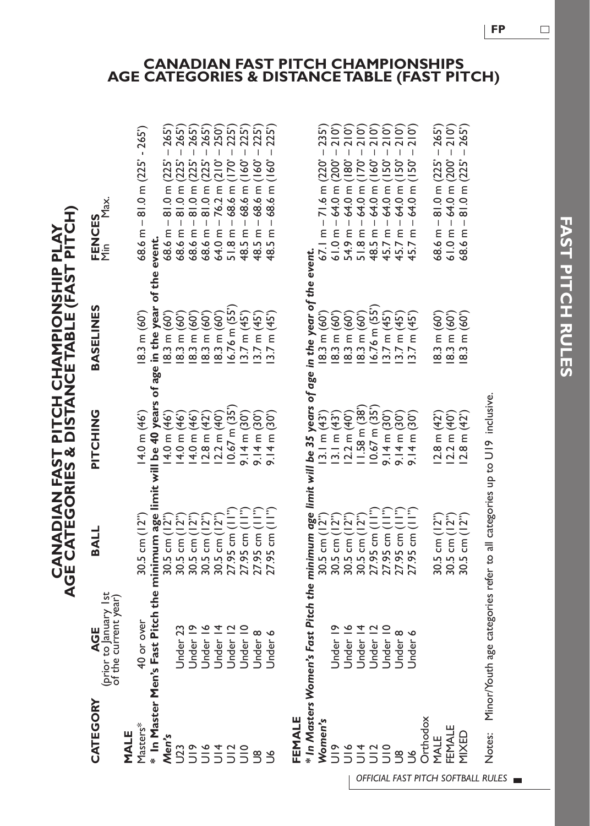CANADIAN FAST PITCH CHAMPIONSHIP PLAY<br>AGE CATEGORIES & DISTANCETABLE (FAST PITCH) **AGE CATEGORIES & DISTANCE TABLE (FAST PITCH) CANADIAN FAST PITCH CHAMPIONSHIP PLAY**

| CATEGORY        | (prior to January 1st<br>of the current year)                                                           | BALL                                                                                                       | PITCHING                      | <b>BASELINES</b>                               | <b>FENCES</b><br>Min Max.                                      |
|-----------------|---------------------------------------------------------------------------------------------------------|------------------------------------------------------------------------------------------------------------|-------------------------------|------------------------------------------------|----------------------------------------------------------------|
| MALE            |                                                                                                         |                                                                                                            |                               |                                                |                                                                |
| Masters*        | 40 or over                                                                                              | $30.5$ cm $(12")$                                                                                          | 14.0 m (46')                  | 8.3 m (60')                                    | 68.6 m - 81.0 m (225' - 265')                                  |
|                 | $^*$ In Master Men's Fast Pitch the minimum age limit will be 40 years of age in the year of the event. |                                                                                                            |                               |                                                |                                                                |
| Men's           |                                                                                                         |                                                                                                            | $14.0 \text{ m} (46)$         | $8.3 \text{ m} (60)$                           | $68.6$ m $- 81.0$ m $(225' - 265')$                            |
| $\overline{23}$ | Jnder <sub>23</sub>                                                                                     | 30.5 cm $(12^{n})$<br>30.5 cm $(12^{n})$<br>30.5 cm $(12^{n})$<br>30.5 cm $(12^{n})$<br>30.5 cm $(12^{n})$ | 14.0 m (46')                  |                                                | 68.6 m $-$ 81.0 m $(225' - 265')$                              |
|                 | Jnder 19                                                                                                |                                                                                                            | 14.0 m (46')                  | $18.3$ m (60')<br>18.3 m (60')<br>18.3 m (60') | 68.6 m – 81.0 m (225' – 265')<br>68.6 m – 81.0 m (225' – 265') |
|                 | Jnder 16                                                                                                |                                                                                                            | $12.8 \text{ m} (42)$         |                                                |                                                                |
|                 | Under <sub>14</sub>                                                                                     |                                                                                                            | 12.2 m (40)                   | 8.3 m (60 <sup>'</sup> )                       | $64.0 m - 76.2 m (210' - 250')$                                |
|                 | Jnder 12                                                                                                | 27.95 cm (11")                                                                                             | $10.67$ m $(35)$              | $6.76$ m $(55)$                                | $51.8$ m $-68.6$ m $(170' - 225')$                             |
| 22222           | Jnder 10                                                                                                | $27.95$ cm $(11")$                                                                                         | $9.14 \text{ m} (30^{\circ})$ | 3.7 m (45)                                     | $48.5 m - 68.6 m (160' - 225')$                                |
| $\tilde{S}$     | Jnder 8                                                                                                 | $27.95$ cm $(11")$                                                                                         | $9.14 \text{ m} (30^{\circ})$ | 3.7 m (45)                                     | $48.5 m - 68.6 m (160' - 225')$                                |
| 9C              | Jnder 6                                                                                                 | 27.95 cm (II")                                                                                             | $9.14 \text{ m} (30)$         | $3.7 \text{ m} (45)$                           | $48.5$ m $-68.6$ m (160' $-225$ ')                             |
| FEMALE          |                                                                                                         |                                                                                                            |                               |                                                |                                                                |
|                 | * In Masters Women's Fast Pitch the minimum age limit will be 35 years of age in the year of the event. |                                                                                                            |                               |                                                |                                                                |
| Women's         |                                                                                                         |                                                                                                            | 13.1 m (43)                   | 8.3 m (60"                                     | $67.1 m - 71.6 m (220' - 235')$                                |
| $\frac{1}{2}$   | Jnder 19                                                                                                | 30.5 cm $(12^{n})$<br>30.5 cm $(12^{n})$<br>30.5 cm $(12^{n})$<br>30.5 cm $(12^{n})$                       | 13.1 m (43)                   | $8.3 \text{ m} (60)$                           |                                                                |
|                 | Jnder 16                                                                                                |                                                                                                            | 12.2 m (40)                   | (60)                                           | 61.0 m – 64.0 m (200' – 210')<br>54.9 m – 64.0 m (180' – 210') |
| 5555            | Jnder <sub>14</sub>                                                                                     |                                                                                                            | 11.58 m (38)                  | 8.3 m (60 <sup>'</sup> )                       | $51.8$ m $-64.0$ m $(170' - 210')$                             |
|                 | Jnder 12                                                                                                | 27.95 cm (11")                                                                                             | $10.67$ m $(35)$              | $6.76$ m $(55)$                                | 210 <sup>o</sup><br>$48.5 m - 64.0 m (160 -$                   |
|                 | Jnder 10                                                                                                | $27.95$ cm $(11")$                                                                                         | $9.14 \text{ m} (30^\circ)$   | 3.7 m (45)                                     | 210 <sup>o</sup><br>$45.7$ m $-64.0$ m (150' $-7$              |
| 9g              | Jnder 8                                                                                                 | 27.95 cm (11")                                                                                             | $9.14 \text{ m} (30)$         | 3.7 m (45)                                     | $45.7 m - 64.0 m (150' - 210')$                                |
| $\tilde{c}$     | Jnder 6                                                                                                 | $27.95$ cm $(11")$                                                                                         | $9.14 \text{ m} (30)$         | 13.7 m (45)                                    | $45.7 m - 64.0 m (150' - 210')$                                |

Minor/Youth age categories refer to all categories up to U19 inclusive. Notes: Minor/Youth age categories refer to all categories up to U19 inclusive. Notes:

### **CANADIAN FAST PITCH CHAMPIONSHIPS AGE CATEGORIES & DISTANCE TABLE (FAST PITCH)**

 $61.0 m - 64.0 m (200' - 210')$ <br> $68.6 m - 81.0 m (225' - 265')$  $58.6$  m  $- 81.0$  m ( $225' - 265'$ )

**FAST PITCH RULES** 

**FAST PITCH RULES** 

MALE *OFFICIAL FAST PITCH SOFTBALL RULES* 

MIXED

MALE 30.5 cm (12") 12.8 m (42') 18.3 m (60') 68.6 m – 81.0 m (225' – 265') FEMALE 30.5 cm (12") 12.2 m (40') 18.3 m (60') 61.0 m – 64.0 m (200' – 210') MIXED 30.5 cm (12") 12.8 m (42') 18.3 m (60') 68.6 m – 81.0 m (225' – 265')

 $12.2$  m  $(40^{\circ})$ <br>12.8 m  $(42^{\circ})$  $2.8 \text{ m} (42)$ 

30.5 cm  $(12")$ <br>30.5 cm  $(12")$ <br>30.5 cm  $(12")$ 

 $18.3$  m (60")<br> $18.3$  m (60")<br> $18.3$  m (60")

Orthodox

Orthodox FEMALE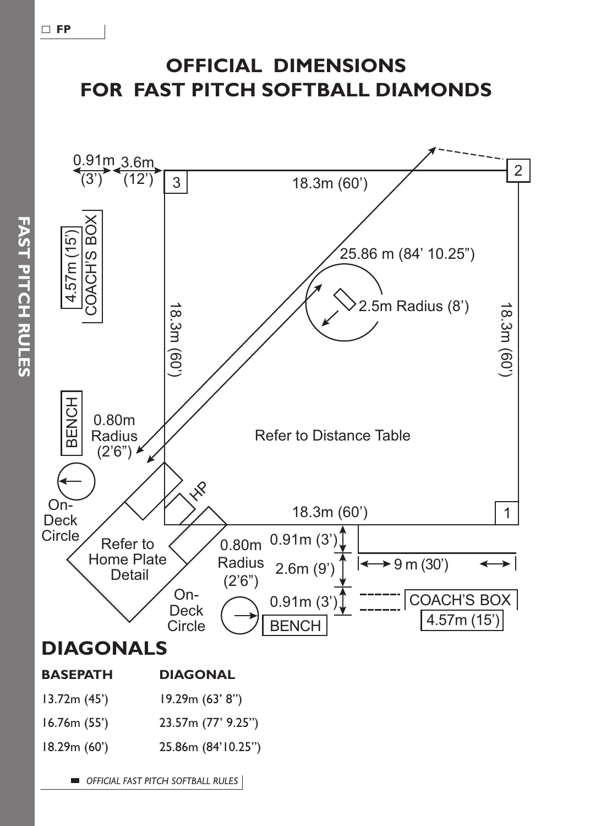# **OFFICIAL DIMENSIONS FOR FAST PITCH SOFTBALL DIAMONDS**

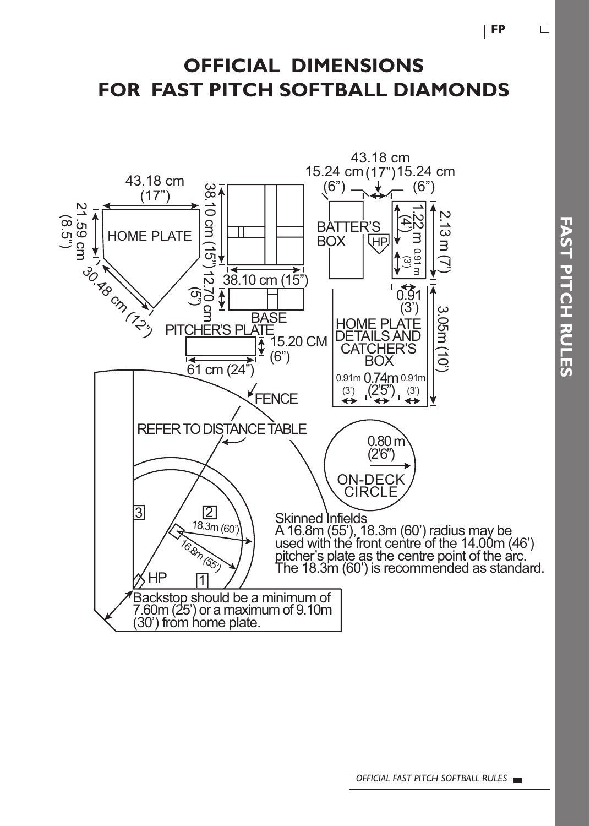$\Box$ 

## **OFFICIAL DIMENSIONS FOR FAST PITCH SOFTBALL DIAMONDS**



*OFFICIAL FAST PITCH SOFTBALL RULES*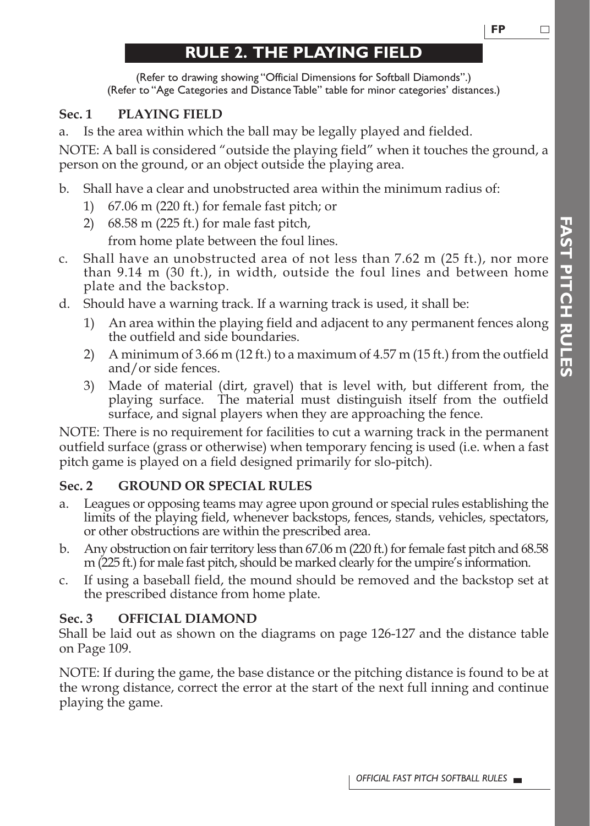## **RULE 2. THE PLAYING FIELD**

(Refer to drawing showing "Official Dimensions for Softball Diamonds".) (Refer to "Age Categories and Distance Table" table for minor categories' distances.)

### **Sec. 1 PLAYING FIELD**

a. Is the area within which the ball may be legally played and fielded.

NOTE: A ball is considered "outside the playing field" when it touches the ground, a person on the ground, or an object outside the playing area.

b. Shall have a clear and unobstructed area within the minimum radius of:

- 1) 67.06 m (220 ft.) for female fast pitch; or
- 2) 68.58 m (225 ft.) for male fast pitch,

from home plate between the foul lines.

- c. Shall have an unobstructed area of not less than  $7.62 \text{ m}$  (25 ft.), nor more than 9.14 m (30 ft.), in width, outside the foul lines and between home plate and the backstop.
- d. Should have a warning track. If a warning track is used, it shall be:
	- 1) An area within the playing field and adjacent to any permanent fences along the outfield and side boundaries.
	- 2) A minimum of 3.66 m (12 ft.) to a maximum of 4.57 m (15 ft.) from the outfield and/or side fences.
	- 3) Made of material (dirt, gravel) that is level with, but different from, the playing surface. The material must distinguish itself from the outfield surface, and signal players when they are approaching the fence.

NOTE: There is no requirement for facilities to cut a warning track in the permanent outfield surface (grass or otherwise) when temporary fencing is used (i.e. when a fast pitch game is played on a field designed primarily for slo-pitch).

### **Sec. 2 GROUND OR SPECIAL RULES**

- a. Leagues or opposing teams may agree upon ground or special rules establishing the limits of the playing field, whenever backstops, fences, stands, vehicles, spectators, or other obstructions are within the prescribed area.
- b. Any obstruction on fair territory less than 67.06 m (220 ft.) for female fast pitch and 68.58 m (225 ft.) for male fast pitch, should be marked clearly for the umpire's information.
- c. If using a baseball field, the mound should be removed and the backstop set at the prescribed distance from home plate.

### **Sec. 3 OFFICIAL DIAMOND**

Shall be laid out as shown on the diagrams on page 126-127 and the distance table on Page 109.

NOTE: If during the game, the base distance or the pitching distance is found to be at the wrong distance, correct the error at the start of the next full inning and continue playing the game.

□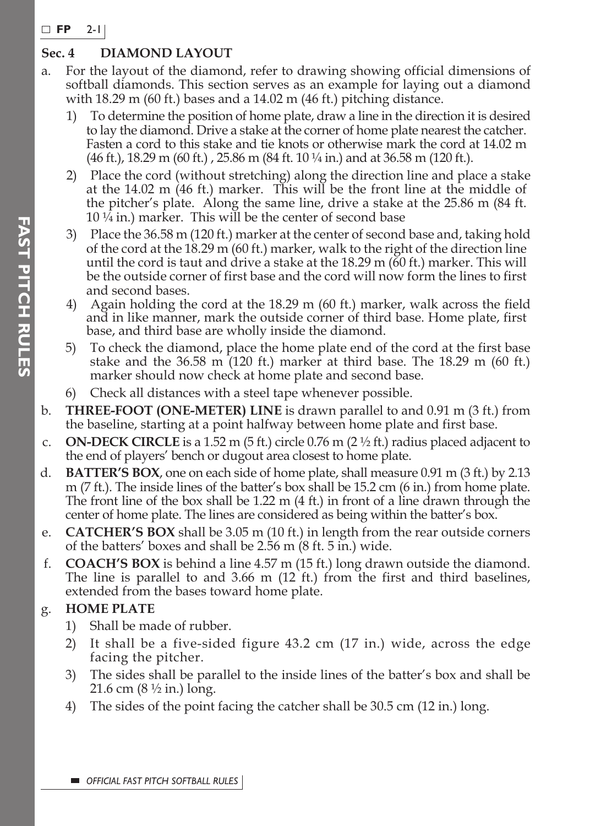#### **FP**  2-1

### **Sec. 4 DIAMOND LAYOUT**

- a. For the layout of the diamond, refer to drawing showing official dimensions of softball diamonds. This section serves as an example for laying out a diamond with 18.29 m (60 ft.) bases and a 14.02 m (46 ft.) pitching distance.
	- 1) To determine the position of home plate, draw a line in the direction it is desired to lay the diamond. Drive a stake at the corner of home plate nearest the catcher. Fasten a cord to this stake and tie knots or otherwise mark the cord at 14.02 m  $(46 \text{ ft.})$ ,  $18.29 \text{ m } (60 \text{ ft.})$ ,  $25.86 \text{ m } (84 \text{ ft. } 10 \frac{1}{4} \text{ in.})$  and at  $36.58 \text{ m } (120 \text{ ft.})$ .
	- 2) Place the cord (without stretching) along the direction line and place a stake at the 14.02 m (46 ft.) marker. This will be the front line at the middle of the pitcher's plate. Along the same line, drive a stake at the 25.86 m (84 ft. 10 ¼ in.) marker. This will be the center of second base
	- 3) Place the 36.58 m (120 ft.) marker at the center of second base and, taking hold of the cord at the 18.29 m (60 ft.) marker, walk to the right of the direction line until the cord is taut and drive a stake at the 18.29 m (60 ft.) marker. This will be the outside corner of first base and the cord will now form the lines to first and second bases.
	- 4) Again holding the cord at the 18.29 m (60 ft.) marker, walk across the field and in like manner, mark the outside corner of third base. Home plate, first base, and third base are wholly inside the diamond.
	- 5) To check the diamond, place the home plate end of the cord at the first base stake and the  $36.58$  m  $(120 \text{ ft.})$  marker at third base. The  $18.29$  m  $(60 \text{ ft.})$ marker should now check at home plate and second base.
	- 6) Check all distances with a steel tape whenever possible.
- b. **THREE-FOOT (ONE-METER) LINE** is drawn parallel to and 0.91 m (3 ft.) from the baseline, starting at a point halfway between home plate and first base.
- c. **ON-DECK CIRCLE** is a 1.52 m (5 ft.) circle 0.76 m (2  $\frac{1}{2}$  ft.) radius placed adjacent to the end of players' bench or dugout area closest to home plate.
- d. **BATTER'S BOX**, one on each side of home plate, shall measure 0.91 m (3 ft.) by 2.13 m (7 ft.). The inside lines of the batter's box shall be 15.2 cm (6 in.) from home plate. The front line of the box shall be 1.22 m (4 ft.) in front of a line drawn through the center of home plate. The lines are considered as being within the batter's box.
- e. **CATCHER'S BOX** shall be 3.05 m (10 ft.) in length from the rear outside corners of the batters' boxes and shall be 2.56 m (8 ft. 5 in.) wide.
- f. **COACH'S BOX** is behind a line 4.57 m (15 ft.) long drawn outside the diamond. The line is parallel to and 3.66 m (12 ft.) from the first and third baselines, extended from the bases toward home plate.

### g. **HOME PLATE**

- 1) Shall be made of rubber.
- 2) It shall be a five-sided figure 43.2 cm (17 in.) wide, across the edge facing the pitcher.
- 3) The sides shall be parallel to the inside lines of the batter's box and shall be 21.6 cm (8 ½ in.) long.
- 4) The sides of the point facing the catcher shall be 30.5 cm (12 in.) long.